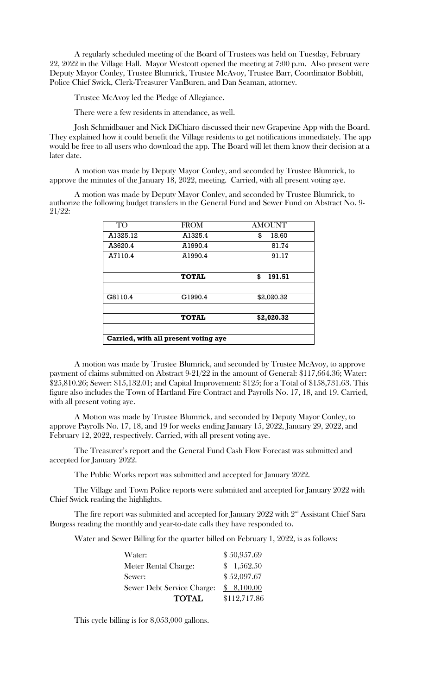A regularly scheduled meeting of the Board of Trustees was held on Tuesday, February 22, 2022 in the Village Hall. Mayor Westcott opened the meeting at 7:00 p.m. Also present were Deputy Mayor Conley, Trustee Blumrick, Trustee McAvoy, Trustee Barr, Coordinator Bobbitt, Police Chief Swick, Clerk-Treasurer VanBuren, and Dan Seaman, attorney.

Trustee McAvoy led the Pledge of Allegiance.

There were a few residents in attendance, as well.

Josh Schmidbauer and Nick DiChiaro discussed their new Grapevine App with the Board. They explained how it could benefit the Village residents to get notifications immediately. The app would be free to all users who download the app. The Board will let them know their decision at a later date.

A motion was made by Deputy Mayor Conley, and seconded by Trustee Blumrick, to approve the minutes of the January 18, 2022, meeting. Carried, with all present voting aye.

A motion was made by Deputy Mayor Conley, and seconded by Trustee Blumrick, to authorize the following budget transfers in the General Fund and Sewer Fund on Abstract No. 9- 21/22:

| <b>TO</b>                            | <b>FROM</b>  | <b>AMOUNT</b> |  |  |  |  |  |
|--------------------------------------|--------------|---------------|--|--|--|--|--|
| A1325.12                             | A1325.4      | \$<br>18.60   |  |  |  |  |  |
| A3620.4                              | A1990.4      | 81.74         |  |  |  |  |  |
| A7110.4                              | A1990.4      | 91.17         |  |  |  |  |  |
|                                      |              |               |  |  |  |  |  |
|                                      | <b>TOTAL</b> | \$<br>191.51  |  |  |  |  |  |
|                                      |              |               |  |  |  |  |  |
| G8110.4                              | G1990.4      | \$2,020.32    |  |  |  |  |  |
|                                      |              |               |  |  |  |  |  |
|                                      | <b>TOTAL</b> | \$2,020.32    |  |  |  |  |  |
|                                      |              |               |  |  |  |  |  |
| Carried, with all present voting aye |              |               |  |  |  |  |  |

A motion was made by Trustee Blumrick, and seconded by Trustee McAvoy, to approve payment of claims submitted on Abstract 9-21/22 in the amount of General: \$117,664.36; Water: \$25,810.26; Sewer: \$15,132.01; and Capital Improvement: \$125; for a Total of \$158,731.63. This figure also includes the Town of Hartland Fire Contract and Payrolls No. 17, 18, and 19. Carried, with all present voting aye.

A Motion was made by Trustee Blumrick, and seconded by Deputy Mayor Conley, to approve Payrolls No. 17, 18, and 19 for weeks ending January 15, 2022, January 29, 2022, and February 12, 2022, respectively. Carried, with all present voting aye.

The Treasurer's report and the General Fund Cash Flow Forecast was submitted and accepted for January 2022.

The Public Works report was submitted and accepted for January 2022.

The Village and Town Police reports were submitted and accepted for January 2022 with Chief Swick reading the highlights.

The fire report was submitted and accepted for January 2022 with  $2<sup>nd</sup>$  Assistant Chief Sara Burgess reading the monthly and year-to-date calls they have responded to.

Water and Sewer Billing for the quarter billed on February 1, 2022, is as follows:

| Water:                            | \$50,957.69  |
|-----------------------------------|--------------|
| Meter Rental Charge:              | \$1,562.50   |
| Sewer:                            | \$52,097.67  |
| <b>Sewer Debt Service Charge:</b> | \$8,100.00   |
| <b>TOTAL</b>                      | \$112,717.86 |

This cycle billing is for 8,053,000 gallons.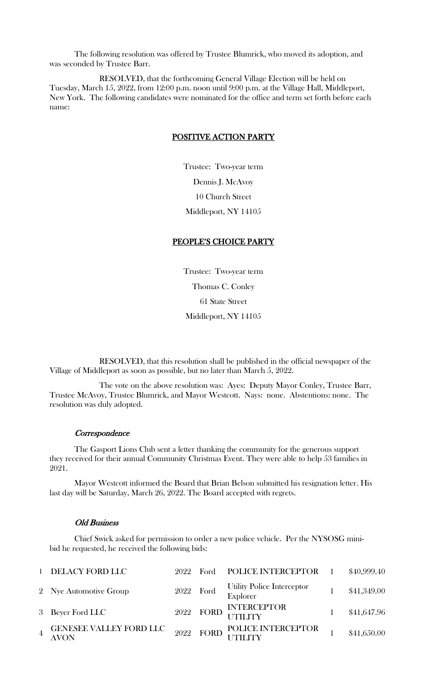The following resolution was offered by Trustee Blumrick, who moved its adoption, and was seconded by Trustee Barr.

RESOLVED, that the forthcoming General Village Election will be held on Tuesday, March 15, 2022, from 12:00 p.m. noon until 9:00 p.m. at the Village Hall, Middleport, New York. The following candidates were nominated for the office and term set forth before each name:

# POSITIVE ACTION PARTY

Trustee: Two-year term Dennis J. McAvoy 10 Church Street Middleport, NY 14105

### PEOPLE'S CHOICE PARTY

Trustee: Two-year term Thomas C. Conley 61 State Street Middleport, NY 14105

RESOLVED, that this resolution shall be published in the official newspaper of the Village of Middleport as soon as possible, but no later than March 5, 2022.

The vote on the above resolution was: Ayes: Deputy Mayor Conley, Trustee Barr, Trustee McAvoy, Trustee Blumrick, and Mayor Westcott. Nays: none. Abstentions: none. The resolution was duly adopted.

### **Correspondence**

The Gasport Lions Club sent a letter thanking the community for the generous support they received for their annual Community Christmas Event. They were able to help 53 families in 2021.

Mayor Westcott informed the Board that Brian Belson submitted his resignation letter. His last day will be Saturday, March 26, 2022. The Board accepted with regrets.

#### Old Business

Chief Swick asked for permission to order a new police vehicle. Per the NYSOSG minibid he requested, he received the following bids:

| 1 DELACY FORD LLC                                                                                                                                                                                       | 2022 Ford | POLICE INTERCEPTOR 1                 | \$40,999.40 |
|---------------------------------------------------------------------------------------------------------------------------------------------------------------------------------------------------------|-----------|--------------------------------------|-------------|
| 2 Nye Automotive Group                                                                                                                                                                                  |           | 2022 Ford Utility Police Interceptor | \$41,349.00 |
| 3 Beyer Ford LLC                                                                                                                                                                                        |           | 2022 FORD INTERCEPTOR                | \$41,647.96 |
| $\begin{tabular}{c c c c c c c c c} \textbf{GENSESE VALUEY FORD LLC} & \textbf{2022} & \textbf{FORD D} & \textbf{POLICE INTERCEPTOR} & 1 & \$41,650.00 \\ \textbf{AVON} & & & & & & & \\ \end{tabular}$ |           |                                      |             |